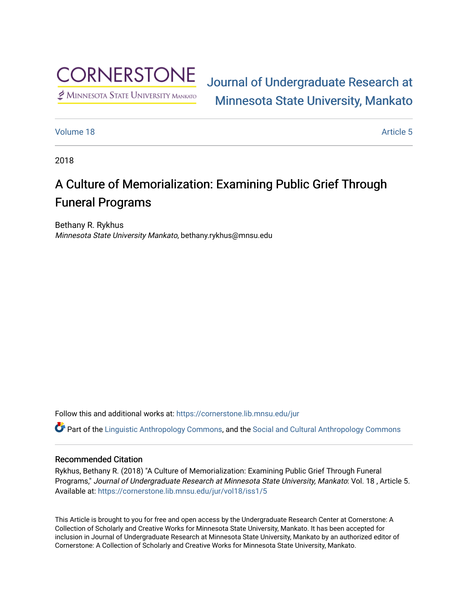

# [Journal of Undergraduate Research at](https://cornerstone.lib.mnsu.edu/jur)  [Minnesota State University, Mankato](https://cornerstone.lib.mnsu.edu/jur)

#### [Volume 18](https://cornerstone.lib.mnsu.edu/jur/vol18) Article 5

2018

## A Culture of Memorialization: Examining Public Grief Through Funeral Programs

Bethany R. Rykhus Minnesota State University Mankato, bethany.rykhus@mnsu.edu

Follow this and additional works at: [https://cornerstone.lib.mnsu.edu/jur](https://cornerstone.lib.mnsu.edu/jur?utm_source=cornerstone.lib.mnsu.edu%2Fjur%2Fvol18%2Fiss1%2F5&utm_medium=PDF&utm_campaign=PDFCoverPages) 

 $\bullet$  Part of the [Linguistic Anthropology Commons,](http://network.bepress.com/hgg/discipline/322?utm_source=cornerstone.lib.mnsu.edu%2Fjur%2Fvol18%2Fiss1%2F5&utm_medium=PDF&utm_campaign=PDFCoverPages) and the Social and Cultural Anthropology Commons

#### Recommended Citation

Rykhus, Bethany R. (2018) "A Culture of Memorialization: Examining Public Grief Through Funeral Programs," Journal of Undergraduate Research at Minnesota State University, Mankato: Vol. 18 , Article 5. Available at: [https://cornerstone.lib.mnsu.edu/jur/vol18/iss1/5](https://cornerstone.lib.mnsu.edu/jur/vol18/iss1/5?utm_source=cornerstone.lib.mnsu.edu%2Fjur%2Fvol18%2Fiss1%2F5&utm_medium=PDF&utm_campaign=PDFCoverPages) 

This Article is brought to you for free and open access by the Undergraduate Research Center at Cornerstone: A Collection of Scholarly and Creative Works for Minnesota State University, Mankato. It has been accepted for inclusion in Journal of Undergraduate Research at Minnesota State University, Mankato by an authorized editor of Cornerstone: A Collection of Scholarly and Creative Works for Minnesota State University, Mankato.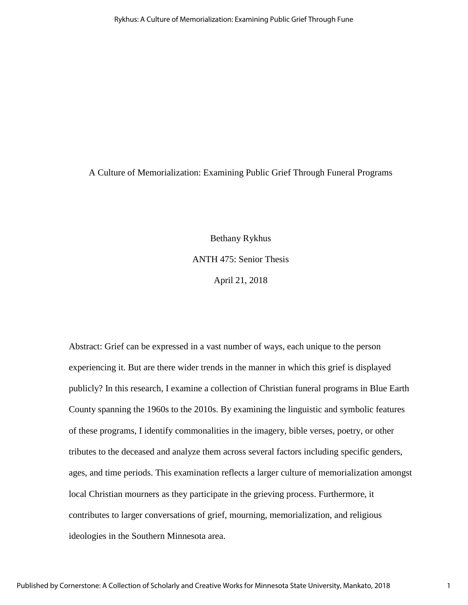### A Culture of Memorialization: Examining Public Grief Through Funeral Programs

Bethany Rykhus ANTH 475: Senior Thesis April 21, 2018

Abstract: Grief can be expressed in a vast number of ways, each unique to the person experiencing it. But are there wider trends in the manner in which this grief is displayed publicly? In this research, I examine a collection of Christian funeral programs in Blue Earth County spanning the 1960s to the 2010s. By examining the linguistic and symbolic features of these programs, I identify commonalities in the imagery, bible verses, poetry, or other tributes to the deceased and analyze them across several factors including specific genders, ages, and time periods. This examination reflects a larger culture of memorialization amongst local Christian mourners as they participate in the grieving process. Furthermore, it contributes to larger conversations of grief, mourning, memorialization, and religious ideologies in the Southern Minnesota area.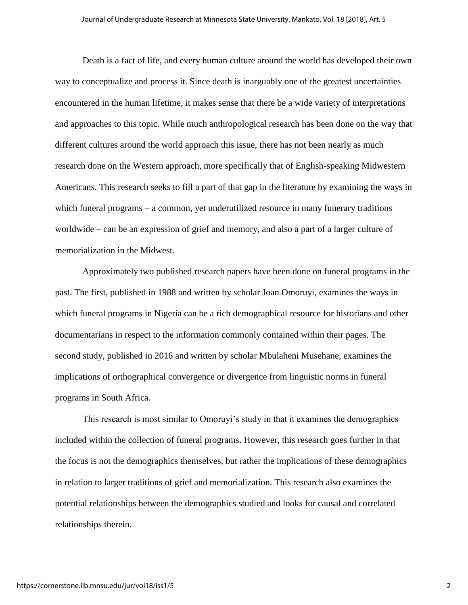Death is a fact of life, and every human culture around the world has developed their own way to conceptualize and process it. Since death is inarguably one of the greatest uncertainties encountered in the human lifetime, it makes sense that there be a wide variety of interpretations and approaches to this topic. While much anthropological research has been done on the way that different cultures around the world approach this issue, there has not been nearly as much research done on the Western approach, more specifically that of English-speaking Midwestern Americans. This research seeks to fill a part of that gap in the literature by examining the ways in which funeral programs – a common, yet underutilized resource in many funerary traditions worldwide – can be an expression of grief and memory, and also a part of a larger culture of memorialization in the Midwest.

Approximately two published research papers have been done on funeral programs in the past. The first, published in 1988 and written by scholar Joan Omoruyi, examines the ways in which funeral programs in Nigeria can be a rich demographical resource for historians and other documentarians in respect to the information commonly contained within their pages. The second study, published in 2016 and written by scholar Mbulaheni Musehane, examines the implications of orthographical convergence or divergence from linguistic norms in funeral programs in South Africa.

This research is most similar to Omoruyi's study in that it examines the demographics included within the collection of funeral programs. However, this research goes further in that the focus is not the demographics themselves, but rather the implications of these demographics in relation to larger traditions of grief and memorialization. This research also examines the potential relationships between the demographics studied and looks for causal and correlated relationships therein.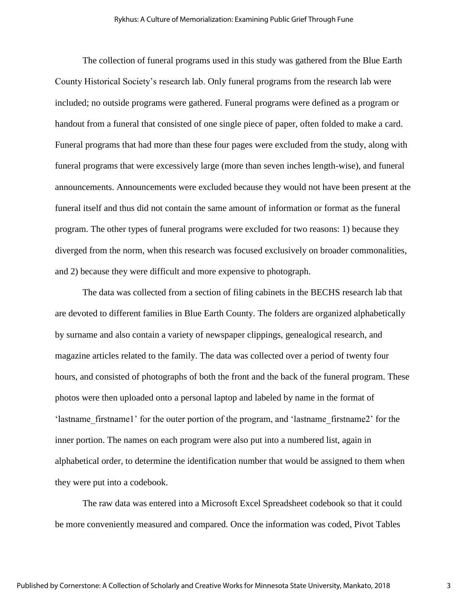The collection of funeral programs used in this study was gathered from the Blue Earth County Historical Society's research lab. Only funeral programs from the research lab were included; no outside programs were gathered. Funeral programs were defined as a program or handout from a funeral that consisted of one single piece of paper, often folded to make a card. Funeral programs that had more than these four pages were excluded from the study, along with funeral programs that were excessively large (more than seven inches length-wise), and funeral announcements. Announcements were excluded because they would not have been present at the funeral itself and thus did not contain the same amount of information or format as the funeral program. The other types of funeral programs were excluded for two reasons: 1) because they diverged from the norm, when this research was focused exclusively on broader commonalities, and 2) because they were difficult and more expensive to photograph.

The data was collected from a section of filing cabinets in the BECHS research lab that are devoted to different families in Blue Earth County. The folders are organized alphabetically by surname and also contain a variety of newspaper clippings, genealogical research, and magazine articles related to the family. The data was collected over a period of twenty four hours, and consisted of photographs of both the front and the back of the funeral program. These photos were then uploaded onto a personal laptop and labeled by name in the format of 'lastname firstname1' for the outer portion of the program, and 'lastname firstname2' for the inner portion. The names on each program were also put into a numbered list, again in alphabetical order, to determine the identification number that would be assigned to them when they were put into a codebook.

The raw data was entered into a Microsoft Excel Spreadsheet codebook so that it could be more conveniently measured and compared. Once the information was coded, Pivot Tables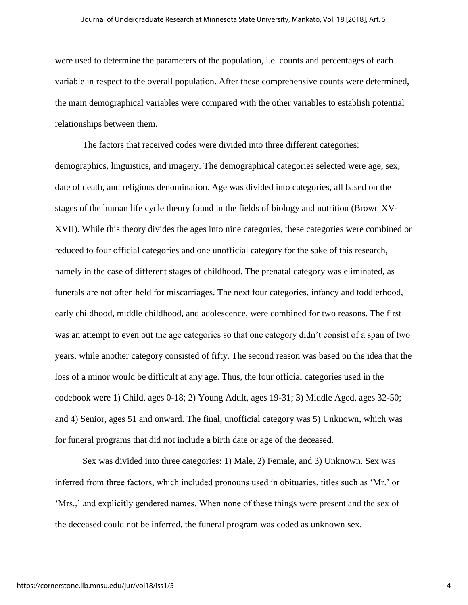were used to determine the parameters of the population, i.e. counts and percentages of each variable in respect to the overall population. After these comprehensive counts were determined, the main demographical variables were compared with the other variables to establish potential relationships between them.

The factors that received codes were divided into three different categories: demographics, linguistics, and imagery. The demographical categories selected were age, sex, date of death, and religious denomination. Age was divided into categories, all based on the stages of the human life cycle theory found in the fields of biology and nutrition (Brown XV-XVII). While this theory divides the ages into nine categories, these categories were combined or reduced to four official categories and one unofficial category for the sake of this research, namely in the case of different stages of childhood. The prenatal category was eliminated, as funerals are not often held for miscarriages. The next four categories, infancy and toddlerhood, early childhood, middle childhood, and adolescence, were combined for two reasons. The first was an attempt to even out the age categories so that one category didn't consist of a span of two years, while another category consisted of fifty. The second reason was based on the idea that the loss of a minor would be difficult at any age. Thus, the four official categories used in the codebook were 1) Child, ages 0-18; 2) Young Adult, ages 19-31; 3) Middle Aged, ages 32-50; and 4) Senior, ages 51 and onward. The final, unofficial category was 5) Unknown, which was for funeral programs that did not include a birth date or age of the deceased.

Sex was divided into three categories: 1) Male, 2) Female, and 3) Unknown. Sex was inferred from three factors, which included pronouns used in obituaries, titles such as 'Mr.' or 'Mrs.,' and explicitly gendered names. When none of these things were present and the sex of the deceased could not be inferred, the funeral program was coded as unknown sex.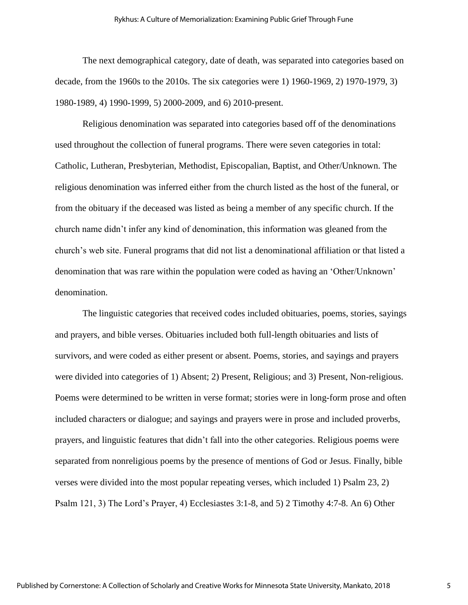The next demographical category, date of death, was separated into categories based on decade, from the 1960s to the 2010s. The six categories were 1) 1960-1969, 2) 1970-1979, 3) 1980-1989, 4) 1990-1999, 5) 2000-2009, and 6) 2010-present.

Religious denomination was separated into categories based off of the denominations used throughout the collection of funeral programs. There were seven categories in total: Catholic, Lutheran, Presbyterian, Methodist, Episcopalian, Baptist, and Other/Unknown. The religious denomination was inferred either from the church listed as the host of the funeral, or from the obituary if the deceased was listed as being a member of any specific church. If the church name didn't infer any kind of denomination, this information was gleaned from the church's web site. Funeral programs that did not list a denominational affiliation or that listed a denomination that was rare within the population were coded as having an 'Other/Unknown' denomination.

The linguistic categories that received codes included obituaries, poems, stories, sayings and prayers, and bible verses. Obituaries included both full-length obituaries and lists of survivors, and were coded as either present or absent. Poems, stories, and sayings and prayers were divided into categories of 1) Absent; 2) Present, Religious; and 3) Present, Non-religious. Poems were determined to be written in verse format; stories were in long-form prose and often included characters or dialogue; and sayings and prayers were in prose and included proverbs, prayers, and linguistic features that didn't fall into the other categories. Religious poems were separated from nonreligious poems by the presence of mentions of God or Jesus. Finally, bible verses were divided into the most popular repeating verses, which included 1) Psalm 23, 2) Psalm 121, 3) The Lord's Prayer, 4) Ecclesiastes 3:1-8, and 5) 2 Timothy 4:7-8. An 6) Other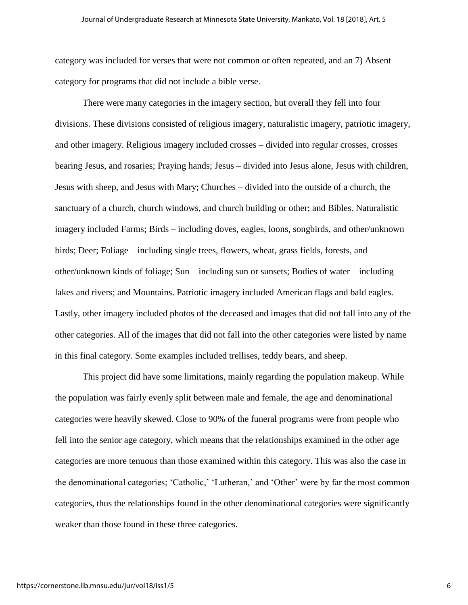category was included for verses that were not common or often repeated, and an 7) Absent category for programs that did not include a bible verse.

There were many categories in the imagery section, but overall they fell into four divisions. These divisions consisted of religious imagery, naturalistic imagery, patriotic imagery, and other imagery. Religious imagery included crosses – divided into regular crosses, crosses bearing Jesus, and rosaries; Praying hands; Jesus – divided into Jesus alone, Jesus with children, Jesus with sheep, and Jesus with Mary; Churches – divided into the outside of a church, the sanctuary of a church, church windows, and church building or other; and Bibles. Naturalistic imagery included Farms; Birds – including doves, eagles, loons, songbirds, and other/unknown birds; Deer; Foliage – including single trees, flowers, wheat, grass fields, forests, and other/unknown kinds of foliage; Sun – including sun or sunsets; Bodies of water – including lakes and rivers; and Mountains. Patriotic imagery included American flags and bald eagles. Lastly, other imagery included photos of the deceased and images that did not fall into any of the other categories. All of the images that did not fall into the other categories were listed by name in this final category. Some examples included trellises, teddy bears, and sheep.

This project did have some limitations, mainly regarding the population makeup. While the population was fairly evenly split between male and female, the age and denominational categories were heavily skewed. Close to 90% of the funeral programs were from people who fell into the senior age category, which means that the relationships examined in the other age categories are more tenuous than those examined within this category. This was also the case in the denominational categories; 'Catholic,' 'Lutheran,' and 'Other' were by far the most common categories, thus the relationships found in the other denominational categories were significantly weaker than those found in these three categories.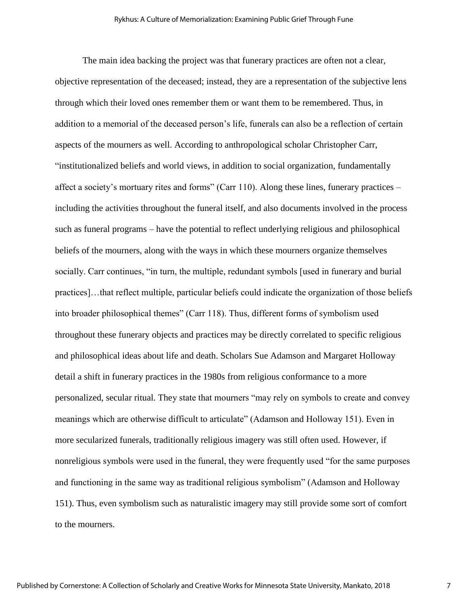The main idea backing the project was that funerary practices are often not a clear, objective representation of the deceased; instead, they are a representation of the subjective lens through which their loved ones remember them or want them to be remembered. Thus, in addition to a memorial of the deceased person's life, funerals can also be a reflection of certain aspects of the mourners as well. According to anthropological scholar Christopher Carr, "institutionalized beliefs and world views, in addition to social organization, fundamentally affect a society's mortuary rites and forms" (Carr 110). Along these lines, funerary practices  $$ including the activities throughout the funeral itself, and also documents involved in the process such as funeral programs – have the potential to reflect underlying religious and philosophical beliefs of the mourners, along with the ways in which these mourners organize themselves socially. Carr continues, "in turn, the multiple, redundant symbols [used in funerary and burial practices]…that reflect multiple, particular beliefs could indicate the organization of those beliefs into broader philosophical themes" (Carr 118). Thus, different forms of symbolism used throughout these funerary objects and practices may be directly correlated to specific religious and philosophical ideas about life and death. Scholars Sue Adamson and Margaret Holloway detail a shift in funerary practices in the 1980s from religious conformance to a more personalized, secular ritual. They state that mourners "may rely on symbols to create and convey meanings which are otherwise difficult to articulate" (Adamson and Holloway 151). Even in more secularized funerals, traditionally religious imagery was still often used. However, if nonreligious symbols were used in the funeral, they were frequently used "for the same purposes and functioning in the same way as traditional religious symbolism" (Adamson and Holloway 151). Thus, even symbolism such as naturalistic imagery may still provide some sort of comfort to the mourners.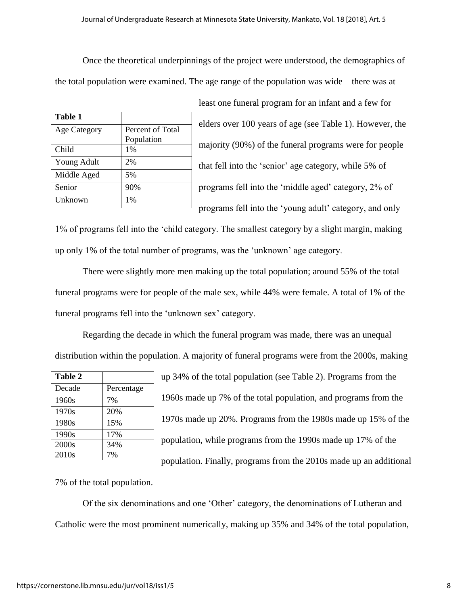Once the theoretical underpinnings of the project were understood, the demographics of the total population were examined. The age range of the population was wide – there was at

| <b>Table 1</b> |                  |
|----------------|------------------|
| Age Category   | Percent of Total |
|                | Population       |
| Child          | 1%               |
| Young Adult    | 2%               |
| Middle Aged    | 5%               |
| Senior         | 90%              |
| <b>Unknown</b> | $1\%$            |

least one funeral program for an infant and a few for elders over 100 years of age (see Table 1). However, the majority (90%) of the funeral programs were for people that fell into the 'senior' age category, while 5% of programs fell into the 'middle aged' category, 2% of programs fell into the 'young adult' category, and only

1% of programs fell into the 'child category. The smallest category by a slight margin, making up only 1% of the total number of programs, was the 'unknown' age category.

There were slightly more men making up the total population; around 55% of the total funeral programs were for people of the male sex, while 44% were female. A total of 1% of the funeral programs fell into the 'unknown sex' category.

Regarding the decade in which the funeral program was made, there was an unequal distribution within the population. A majority of funeral programs were from the 2000s, making

| <b>Table 2</b>    |            |
|-------------------|------------|
| Decade            | Percentage |
| 1960s             | 7%         |
| 1970s             | 20%        |
| 1980s             | 15%        |
| 1990s             | 17%        |
| 2000s             | 34%        |
| 2010 <sub>s</sub> |            |

up 34% of the total population (see Table 2). Programs from the 1960s made up 7% of the total population, and programs from the 1970s made up 20%. Programs from the 1980s made up 15% of the population, while programs from the 1990s made up 17% of the population. Finally, programs from the 2010s made up an additional

7% of the total population.

Of the six denominations and one 'Other' category, the denominations of Lutheran and Catholic were the most prominent numerically, making up 35% and 34% of the total population,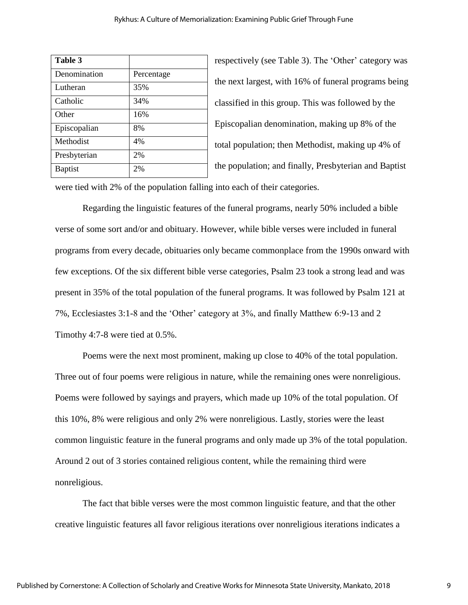| Table 3        |            |
|----------------|------------|
| Denomination   | Percentage |
| Lutheran       | 35%        |
| Catholic       | 34%        |
| Other          | 16%        |
| Episcopalian   | 8%         |
| Methodist      | 4%         |
| Presbyterian   | 2%         |
| <b>Baptist</b> | 2%         |

respectively (see Table 3). The 'Other' category was the next largest, with 16% of funeral programs being classified in this group. This was followed by the Episcopalian denomination, making up 8% of the total population; then Methodist, making up 4% of the population; and finally, Presbyterian and Baptist

were tied with 2% of the population falling into each of their categories.

Regarding the linguistic features of the funeral programs, nearly 50% included a bible verse of some sort and/or and obituary. However, while bible verses were included in funeral programs from every decade, obituaries only became commonplace from the 1990s onward with few exceptions. Of the six different bible verse categories, Psalm 23 took a strong lead and was present in 35% of the total population of the funeral programs. It was followed by Psalm 121 at 7%, Ecclesiastes 3:1-8 and the 'Other' category at 3%, and finally Matthew 6:9-13 and 2 Timothy 4:7-8 were tied at 0.5%.

Poems were the next most prominent, making up close to 40% of the total population. Three out of four poems were religious in nature, while the remaining ones were nonreligious. Poems were followed by sayings and prayers, which made up 10% of the total population. Of this 10%, 8% were religious and only 2% were nonreligious. Lastly, stories were the least common linguistic feature in the funeral programs and only made up 3% of the total population. Around 2 out of 3 stories contained religious content, while the remaining third were nonreligious.

The fact that bible verses were the most common linguistic feature, and that the other creative linguistic features all favor religious iterations over nonreligious iterations indicates a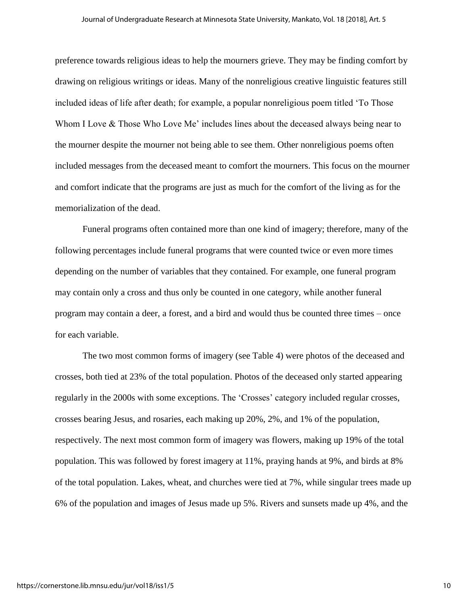preference towards religious ideas to help the mourners grieve. They may be finding comfort by drawing on religious writings or ideas. Many of the nonreligious creative linguistic features still included ideas of life after death; for example, a popular nonreligious poem titled 'To Those Whom I Love & Those Who Love Me' includes lines about the deceased always being near to the mourner despite the mourner not being able to see them. Other nonreligious poems often included messages from the deceased meant to comfort the mourners. This focus on the mourner and comfort indicate that the programs are just as much for the comfort of the living as for the memorialization of the dead.

Funeral programs often contained more than one kind of imagery; therefore, many of the following percentages include funeral programs that were counted twice or even more times depending on the number of variables that they contained. For example, one funeral program may contain only a cross and thus only be counted in one category, while another funeral program may contain a deer, a forest, and a bird and would thus be counted three times – once for each variable.

The two most common forms of imagery (see Table 4) were photos of the deceased and crosses, both tied at 23% of the total population. Photos of the deceased only started appearing regularly in the 2000s with some exceptions. The 'Crosses' category included regular crosses, crosses bearing Jesus, and rosaries, each making up 20%, 2%, and 1% of the population, respectively. The next most common form of imagery was flowers, making up 19% of the total population. This was followed by forest imagery at 11%, praying hands at 9%, and birds at 8% of the total population. Lakes, wheat, and churches were tied at 7%, while singular trees made up 6% of the population and images of Jesus made up 5%. Rivers and sunsets made up 4%, and the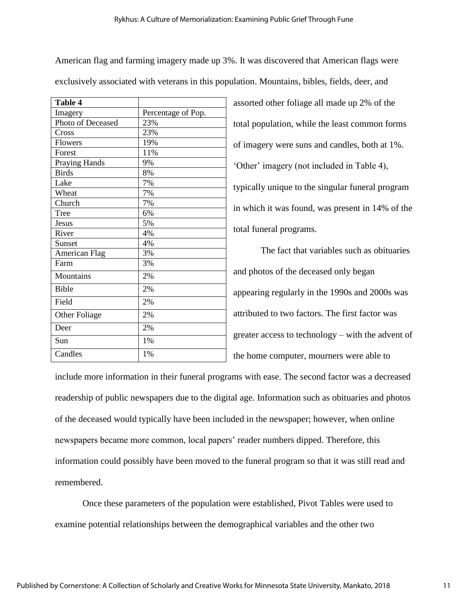American flag and farming imagery made up 3%. It was discovered that American flags were exclusively associated with veterans in this population. Mountains, bibles, fields, deer, and

| <b>Table 4</b>       |                    |
|----------------------|--------------------|
| Imagery              | Percentage of Pop. |
| Photo of Deceased    | 23%                |
| Cross                | 23%                |
| Flowers              | 19%                |
| Forest               | 11%                |
| <b>Praying Hands</b> | 9%                 |
| <b>Birds</b>         | 8%                 |
| Lake                 | 7%                 |
| Wheat                | 7%                 |
| Church               | 7%                 |
| <b>Tree</b>          | 6%                 |
| Jesus                | 5%                 |
| River                | 4%                 |
| Sunset               | 4%                 |
| <b>American Flag</b> | 3%                 |
| Farm                 | 3%                 |
| Mountains            | 2%                 |
| <b>Bible</b>         | 2%                 |
| Field                | 2%                 |
| Other Foliage        | 2%                 |
| Deer                 | 2%                 |
| Sun                  | 1%                 |
| Candles              | $1\%$              |

assorted other foliage all made up 2% of the total population, while the least common forms of imagery were suns and candles, both at 1%. 'Other' imagery (not included in Table 4), typically unique to the singular funeral program in which it was found, was present in 14% of the total funeral programs.

The fact that variables such as obituaries and photos of the deceased only began appearing regularly in the 1990s and 2000s was attributed to two factors. The first factor was greater access to technology – with the advent of the home computer, mourners were able to

include more information in their funeral programs with ease. The second factor was a decreased readership of public newspapers due to the digital age. Information such as obituaries and photos of the deceased would typically have been included in the newspaper; however, when online newspapers became more common, local papers' reader numbers dipped. Therefore, this information could possibly have been moved to the funeral program so that it was still read and remembered.

Once these parameters of the population were established, Pivot Tables were used to examine potential relationships between the demographical variables and the other two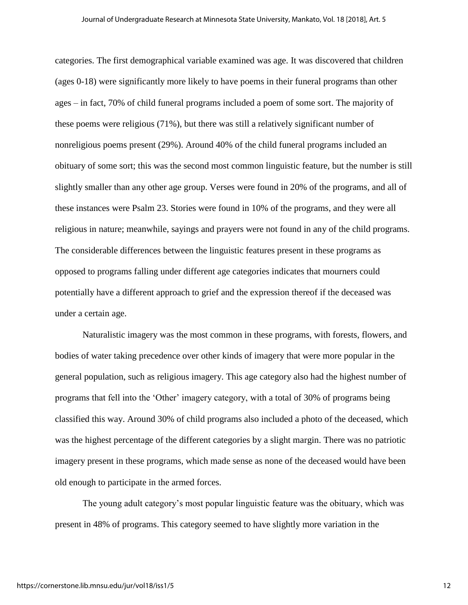categories. The first demographical variable examined was age. It was discovered that children (ages 0-18) were significantly more likely to have poems in their funeral programs than other ages – in fact, 70% of child funeral programs included a poem of some sort. The majority of these poems were religious (71%), but there was still a relatively significant number of nonreligious poems present (29%). Around 40% of the child funeral programs included an obituary of some sort; this was the second most common linguistic feature, but the number is still slightly smaller than any other age group. Verses were found in 20% of the programs, and all of these instances were Psalm 23. Stories were found in 10% of the programs, and they were all religious in nature; meanwhile, sayings and prayers were not found in any of the child programs. The considerable differences between the linguistic features present in these programs as opposed to programs falling under different age categories indicates that mourners could potentially have a different approach to grief and the expression thereof if the deceased was under a certain age.

Naturalistic imagery was the most common in these programs, with forests, flowers, and bodies of water taking precedence over other kinds of imagery that were more popular in the general population, such as religious imagery. This age category also had the highest number of programs that fell into the 'Other' imagery category, with a total of 30% of programs being classified this way. Around 30% of child programs also included a photo of the deceased, which was the highest percentage of the different categories by a slight margin. There was no patriotic imagery present in these programs, which made sense as none of the deceased would have been old enough to participate in the armed forces.

The young adult category's most popular linguistic feature was the obituary, which was present in 48% of programs. This category seemed to have slightly more variation in the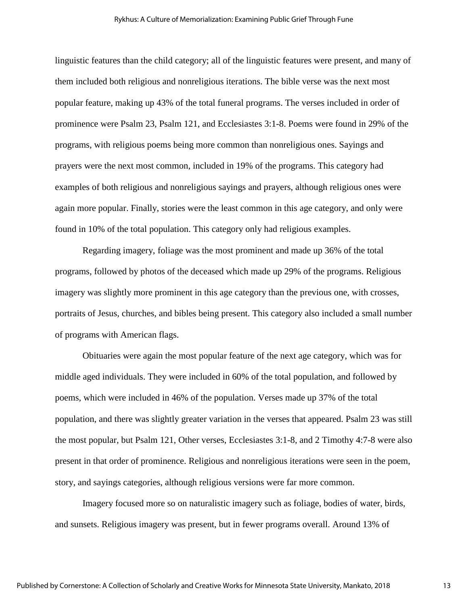linguistic features than the child category; all of the linguistic features were present, and many of them included both religious and nonreligious iterations. The bible verse was the next most popular feature, making up 43% of the total funeral programs. The verses included in order of prominence were Psalm 23, Psalm 121, and Ecclesiastes 3:1-8. Poems were found in 29% of the programs, with religious poems being more common than nonreligious ones. Sayings and prayers were the next most common, included in 19% of the programs. This category had examples of both religious and nonreligious sayings and prayers, although religious ones were again more popular. Finally, stories were the least common in this age category, and only were found in 10% of the total population. This category only had religious examples.

Regarding imagery, foliage was the most prominent and made up 36% of the total programs, followed by photos of the deceased which made up 29% of the programs. Religious imagery was slightly more prominent in this age category than the previous one, with crosses, portraits of Jesus, churches, and bibles being present. This category also included a small number of programs with American flags.

Obituaries were again the most popular feature of the next age category, which was for middle aged individuals. They were included in 60% of the total population, and followed by poems, which were included in 46% of the population. Verses made up 37% of the total population, and there was slightly greater variation in the verses that appeared. Psalm 23 was still the most popular, but Psalm 121, Other verses, Ecclesiastes 3:1-8, and 2 Timothy 4:7-8 were also present in that order of prominence. Religious and nonreligious iterations were seen in the poem, story, and sayings categories, although religious versions were far more common.

Imagery focused more so on naturalistic imagery such as foliage, bodies of water, birds, and sunsets. Religious imagery was present, but in fewer programs overall. Around 13% of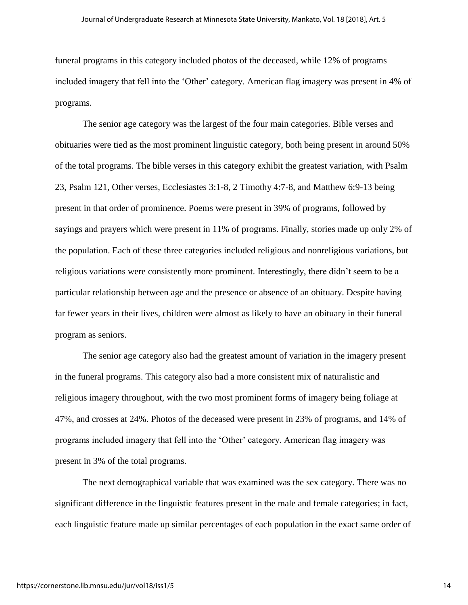funeral programs in this category included photos of the deceased, while 12% of programs included imagery that fell into the 'Other' category. American flag imagery was present in 4% of programs.

The senior age category was the largest of the four main categories. Bible verses and obituaries were tied as the most prominent linguistic category, both being present in around 50% of the total programs. The bible verses in this category exhibit the greatest variation, with Psalm 23, Psalm 121, Other verses, Ecclesiastes 3:1-8, 2 Timothy 4:7-8, and Matthew 6:9-13 being present in that order of prominence. Poems were present in 39% of programs, followed by sayings and prayers which were present in 11% of programs. Finally, stories made up only 2% of the population. Each of these three categories included religious and nonreligious variations, but religious variations were consistently more prominent. Interestingly, there didn't seem to be a particular relationship between age and the presence or absence of an obituary. Despite having far fewer years in their lives, children were almost as likely to have an obituary in their funeral program as seniors.

The senior age category also had the greatest amount of variation in the imagery present in the funeral programs. This category also had a more consistent mix of naturalistic and religious imagery throughout, with the two most prominent forms of imagery being foliage at 47%, and crosses at 24%. Photos of the deceased were present in 23% of programs, and 14% of programs included imagery that fell into the 'Other' category. American flag imagery was present in 3% of the total programs.

The next demographical variable that was examined was the sex category. There was no significant difference in the linguistic features present in the male and female categories; in fact, each linguistic feature made up similar percentages of each population in the exact same order of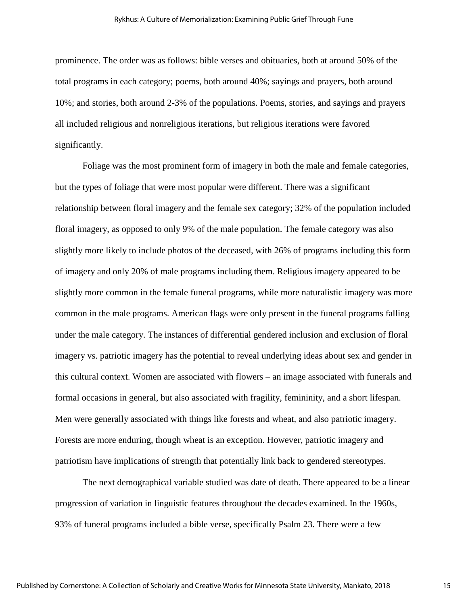prominence. The order was as follows: bible verses and obituaries, both at around 50% of the total programs in each category; poems, both around 40%; sayings and prayers, both around 10%; and stories, both around 2-3% of the populations. Poems, stories, and sayings and prayers all included religious and nonreligious iterations, but religious iterations were favored significantly.

Foliage was the most prominent form of imagery in both the male and female categories, but the types of foliage that were most popular were different. There was a significant relationship between floral imagery and the female sex category; 32% of the population included floral imagery, as opposed to only 9% of the male population. The female category was also slightly more likely to include photos of the deceased, with 26% of programs including this form of imagery and only 20% of male programs including them. Religious imagery appeared to be slightly more common in the female funeral programs, while more naturalistic imagery was more common in the male programs. American flags were only present in the funeral programs falling under the male category. The instances of differential gendered inclusion and exclusion of floral imagery vs. patriotic imagery has the potential to reveal underlying ideas about sex and gender in this cultural context. Women are associated with flowers – an image associated with funerals and formal occasions in general, but also associated with fragility, femininity, and a short lifespan. Men were generally associated with things like forests and wheat, and also patriotic imagery. Forests are more enduring, though wheat is an exception. However, patriotic imagery and patriotism have implications of strength that potentially link back to gendered stereotypes.

The next demographical variable studied was date of death. There appeared to be a linear progression of variation in linguistic features throughout the decades examined. In the 1960s, 93% of funeral programs included a bible verse, specifically Psalm 23. There were a few

15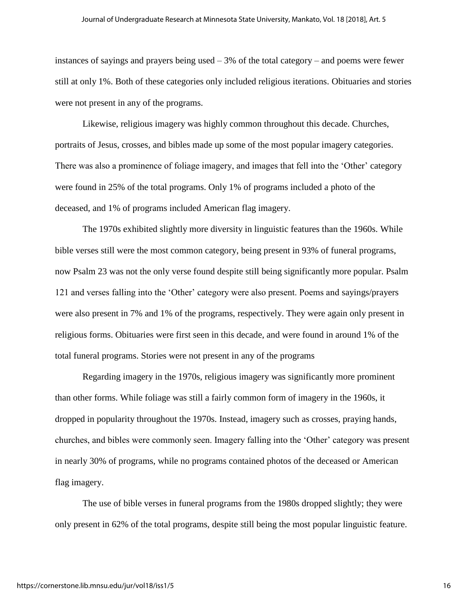instances of sayings and prayers being used  $-3%$  of the total category – and poems were fewer still at only 1%. Both of these categories only included religious iterations. Obituaries and stories were not present in any of the programs.

Likewise, religious imagery was highly common throughout this decade. Churches, portraits of Jesus, crosses, and bibles made up some of the most popular imagery categories. There was also a prominence of foliage imagery, and images that fell into the 'Other' category were found in 25% of the total programs. Only 1% of programs included a photo of the deceased, and 1% of programs included American flag imagery.

The 1970s exhibited slightly more diversity in linguistic features than the 1960s. While bible verses still were the most common category, being present in 93% of funeral programs, now Psalm 23 was not the only verse found despite still being significantly more popular. Psalm 121 and verses falling into the 'Other' category were also present. Poems and sayings/prayers were also present in 7% and 1% of the programs, respectively. They were again only present in religious forms. Obituaries were first seen in this decade, and were found in around 1% of the total funeral programs. Stories were not present in any of the programs

Regarding imagery in the 1970s, religious imagery was significantly more prominent than other forms. While foliage was still a fairly common form of imagery in the 1960s, it dropped in popularity throughout the 1970s. Instead, imagery such as crosses, praying hands, churches, and bibles were commonly seen. Imagery falling into the 'Other' category was present in nearly 30% of programs, while no programs contained photos of the deceased or American flag imagery.

The use of bible verses in funeral programs from the 1980s dropped slightly; they were only present in 62% of the total programs, despite still being the most popular linguistic feature.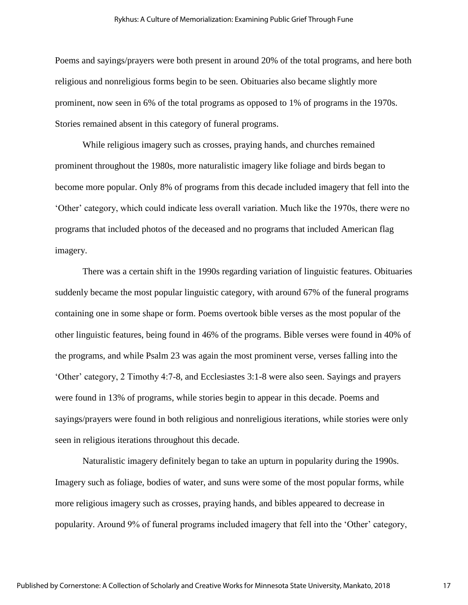Poems and sayings/prayers were both present in around 20% of the total programs, and here both religious and nonreligious forms begin to be seen. Obituaries also became slightly more prominent, now seen in 6% of the total programs as opposed to 1% of programs in the 1970s. Stories remained absent in this category of funeral programs.

While religious imagery such as crosses, praying hands, and churches remained prominent throughout the 1980s, more naturalistic imagery like foliage and birds began to become more popular. Only 8% of programs from this decade included imagery that fell into the 'Other' category, which could indicate less overall variation. Much like the 1970s, there were no programs that included photos of the deceased and no programs that included American flag imagery.

There was a certain shift in the 1990s regarding variation of linguistic features. Obituaries suddenly became the most popular linguistic category, with around 67% of the funeral programs containing one in some shape or form. Poems overtook bible verses as the most popular of the other linguistic features, being found in 46% of the programs. Bible verses were found in 40% of the programs, and while Psalm 23 was again the most prominent verse, verses falling into the 'Other' category, 2 Timothy 4:7-8, and Ecclesiastes 3:1-8 were also seen. Sayings and prayers were found in 13% of programs, while stories begin to appear in this decade. Poems and sayings/prayers were found in both religious and nonreligious iterations, while stories were only seen in religious iterations throughout this decade.

Naturalistic imagery definitely began to take an upturn in popularity during the 1990s. Imagery such as foliage, bodies of water, and suns were some of the most popular forms, while more religious imagery such as crosses, praying hands, and bibles appeared to decrease in popularity. Around 9% of funeral programs included imagery that fell into the 'Other' category,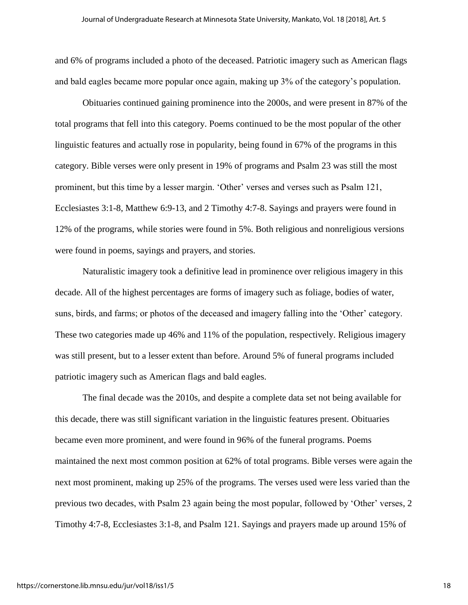and 6% of programs included a photo of the deceased. Patriotic imagery such as American flags and bald eagles became more popular once again, making up 3% of the category's population.

Obituaries continued gaining prominence into the 2000s, and were present in 87% of the total programs that fell into this category. Poems continued to be the most popular of the other linguistic features and actually rose in popularity, being found in 67% of the programs in this category. Bible verses were only present in 19% of programs and Psalm 23 was still the most prominent, but this time by a lesser margin. 'Other' verses and verses such as Psalm 121, Ecclesiastes 3:1-8, Matthew 6:9-13, and 2 Timothy 4:7-8. Sayings and prayers were found in 12% of the programs, while stories were found in 5%. Both religious and nonreligious versions were found in poems, sayings and prayers, and stories.

Naturalistic imagery took a definitive lead in prominence over religious imagery in this decade. All of the highest percentages are forms of imagery such as foliage, bodies of water, suns, birds, and farms; or photos of the deceased and imagery falling into the 'Other' category. These two categories made up 46% and 11% of the population, respectively. Religious imagery was still present, but to a lesser extent than before. Around 5% of funeral programs included patriotic imagery such as American flags and bald eagles.

The final decade was the 2010s, and despite a complete data set not being available for this decade, there was still significant variation in the linguistic features present. Obituaries became even more prominent, and were found in 96% of the funeral programs. Poems maintained the next most common position at 62% of total programs. Bible verses were again the next most prominent, making up 25% of the programs. The verses used were less varied than the previous two decades, with Psalm 23 again being the most popular, followed by 'Other' verses, 2 Timothy 4:7-8, Ecclesiastes 3:1-8, and Psalm 121. Sayings and prayers made up around 15% of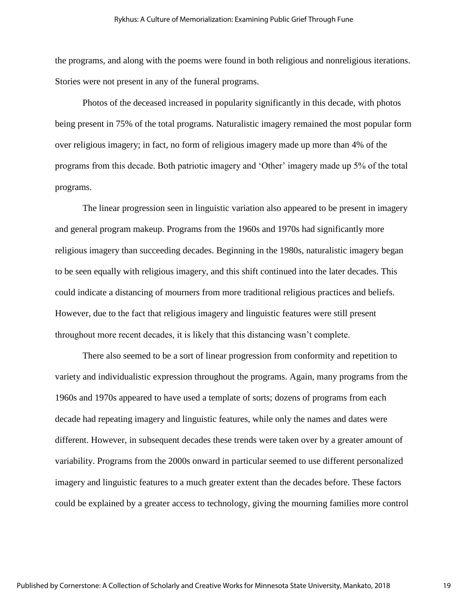the programs, and along with the poems were found in both religious and nonreligious iterations. Stories were not present in any of the funeral programs.

Photos of the deceased increased in popularity significantly in this decade, with photos being present in 75% of the total programs. Naturalistic imagery remained the most popular form over religious imagery; in fact, no form of religious imagery made up more than 4% of the programs from this decade. Both patriotic imagery and 'Other' imagery made up 5% of the total programs.

The linear progression seen in linguistic variation also appeared to be present in imagery and general program makeup. Programs from the 1960s and 1970s had significantly more religious imagery than succeeding decades. Beginning in the 1980s, naturalistic imagery began to be seen equally with religious imagery, and this shift continued into the later decades. This could indicate a distancing of mourners from more traditional religious practices and beliefs. However, due to the fact that religious imagery and linguistic features were still present throughout more recent decades, it is likely that this distancing wasn't complete.

There also seemed to be a sort of linear progression from conformity and repetition to variety and individualistic expression throughout the programs. Again, many programs from the 1960s and 1970s appeared to have used a template of sorts; dozens of programs from each decade had repeating imagery and linguistic features, while only the names and dates were different. However, in subsequent decades these trends were taken over by a greater amount of variability. Programs from the 2000s onward in particular seemed to use different personalized imagery and linguistic features to a much greater extent than the decades before. These factors could be explained by a greater access to technology, giving the mourning families more control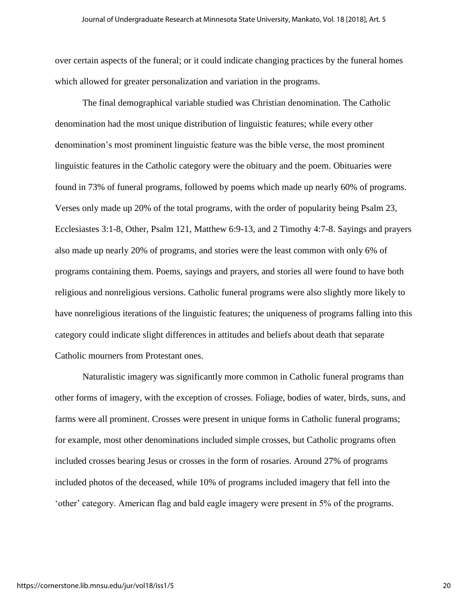over certain aspects of the funeral; or it could indicate changing practices by the funeral homes which allowed for greater personalization and variation in the programs.

The final demographical variable studied was Christian denomination. The Catholic denomination had the most unique distribution of linguistic features; while every other denomination's most prominent linguistic feature was the bible verse, the most prominent linguistic features in the Catholic category were the obituary and the poem. Obituaries were found in 73% of funeral programs, followed by poems which made up nearly 60% of programs. Verses only made up 20% of the total programs, with the order of popularity being Psalm 23, Ecclesiastes 3:1-8, Other, Psalm 121, Matthew 6:9-13, and 2 Timothy 4:7-8. Sayings and prayers also made up nearly 20% of programs, and stories were the least common with only 6% of programs containing them. Poems, sayings and prayers, and stories all were found to have both religious and nonreligious versions. Catholic funeral programs were also slightly more likely to have nonreligious iterations of the linguistic features; the uniqueness of programs falling into this category could indicate slight differences in attitudes and beliefs about death that separate Catholic mourners from Protestant ones.

Naturalistic imagery was significantly more common in Catholic funeral programs than other forms of imagery, with the exception of crosses. Foliage, bodies of water, birds, suns, and farms were all prominent. Crosses were present in unique forms in Catholic funeral programs; for example, most other denominations included simple crosses, but Catholic programs often included crosses bearing Jesus or crosses in the form of rosaries. Around 27% of programs included photos of the deceased, while 10% of programs included imagery that fell into the 'other' category. American flag and bald eagle imagery were present in 5% of the programs.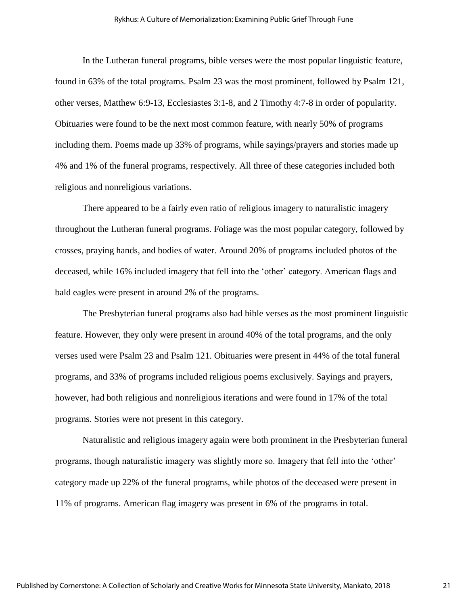In the Lutheran funeral programs, bible verses were the most popular linguistic feature, found in 63% of the total programs. Psalm 23 was the most prominent, followed by Psalm 121, other verses, Matthew 6:9-13, Ecclesiastes 3:1-8, and 2 Timothy 4:7-8 in order of popularity. Obituaries were found to be the next most common feature, with nearly 50% of programs including them. Poems made up 33% of programs, while sayings/prayers and stories made up 4% and 1% of the funeral programs, respectively. All three of these categories included both religious and nonreligious variations.

There appeared to be a fairly even ratio of religious imagery to naturalistic imagery throughout the Lutheran funeral programs. Foliage was the most popular category, followed by crosses, praying hands, and bodies of water. Around 20% of programs included photos of the deceased, while 16% included imagery that fell into the 'other' category. American flags and bald eagles were present in around 2% of the programs.

The Presbyterian funeral programs also had bible verses as the most prominent linguistic feature. However, they only were present in around 40% of the total programs, and the only verses used were Psalm 23 and Psalm 121. Obituaries were present in 44% of the total funeral programs, and 33% of programs included religious poems exclusively. Sayings and prayers, however, had both religious and nonreligious iterations and were found in 17% of the total programs. Stories were not present in this category.

Naturalistic and religious imagery again were both prominent in the Presbyterian funeral programs, though naturalistic imagery was slightly more so. Imagery that fell into the 'other' category made up 22% of the funeral programs, while photos of the deceased were present in 11% of programs. American flag imagery was present in 6% of the programs in total.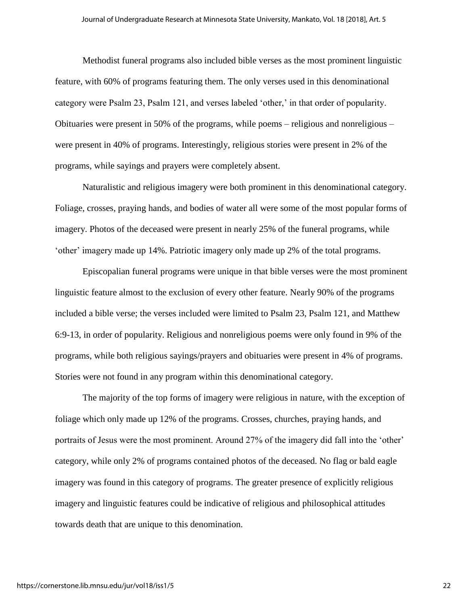Methodist funeral programs also included bible verses as the most prominent linguistic feature, with 60% of programs featuring them. The only verses used in this denominational category were Psalm 23, Psalm 121, and verses labeled 'other,' in that order of popularity. Obituaries were present in 50% of the programs, while poems – religious and nonreligious – were present in 40% of programs. Interestingly, religious stories were present in 2% of the programs, while sayings and prayers were completely absent.

Naturalistic and religious imagery were both prominent in this denominational category. Foliage, crosses, praying hands, and bodies of water all were some of the most popular forms of imagery. Photos of the deceased were present in nearly 25% of the funeral programs, while 'other' imagery made up 14%. Patriotic imagery only made up 2% of the total programs.

Episcopalian funeral programs were unique in that bible verses were the most prominent linguistic feature almost to the exclusion of every other feature. Nearly 90% of the programs included a bible verse; the verses included were limited to Psalm 23, Psalm 121, and Matthew 6:9-13, in order of popularity. Religious and nonreligious poems were only found in 9% of the programs, while both religious sayings/prayers and obituaries were present in 4% of programs. Stories were not found in any program within this denominational category.

The majority of the top forms of imagery were religious in nature, with the exception of foliage which only made up 12% of the programs. Crosses, churches, praying hands, and portraits of Jesus were the most prominent. Around 27% of the imagery did fall into the 'other' category, while only 2% of programs contained photos of the deceased. No flag or bald eagle imagery was found in this category of programs. The greater presence of explicitly religious imagery and linguistic features could be indicative of religious and philosophical attitudes towards death that are unique to this denomination.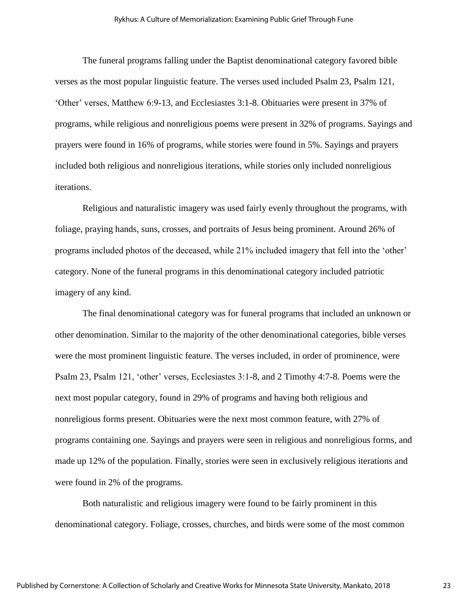The funeral programs falling under the Baptist denominational category favored bible verses as the most popular linguistic feature. The verses used included Psalm 23, Psalm 121, 'Other' verses, Matthew 6:9-13, and Ecclesiastes 3:1-8. Obituaries were present in 37% of programs, while religious and nonreligious poems were present in 32% of programs. Sayings and prayers were found in 16% of programs, while stories were found in 5%. Sayings and prayers included both religious and nonreligious iterations, while stories only included nonreligious iterations.

Religious and naturalistic imagery was used fairly evenly throughout the programs, with foliage, praying hands, suns, crosses, and portraits of Jesus being prominent. Around 26% of programs included photos of the deceased, while 21% included imagery that fell into the 'other' category. None of the funeral programs in this denominational category included patriotic imagery of any kind.

The final denominational category was for funeral programs that included an unknown or other denomination. Similar to the majority of the other denominational categories, bible verses were the most prominent linguistic feature. The verses included, in order of prominence, were Psalm 23, Psalm 121, 'other' verses, Ecclesiastes 3:1-8, and 2 Timothy 4:7-8. Poems were the next most popular category, found in 29% of programs and having both religious and nonreligious forms present. Obituaries were the next most common feature, with 27% of programs containing one. Sayings and prayers were seen in religious and nonreligious forms, and made up 12% of the population. Finally, stories were seen in exclusively religious iterations and were found in 2% of the programs.

Both naturalistic and religious imagery were found to be fairly prominent in this denominational category. Foliage, crosses, churches, and birds were some of the most common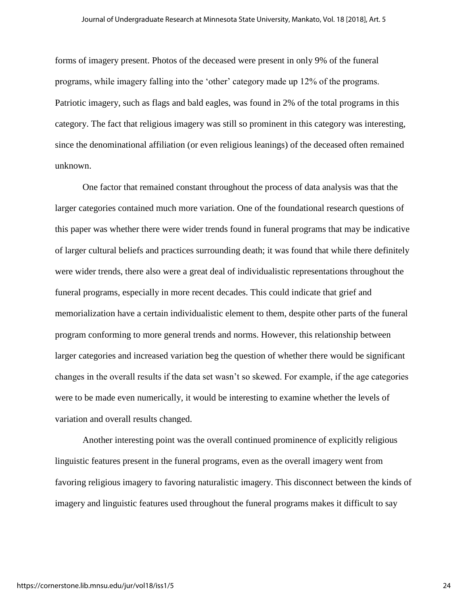forms of imagery present. Photos of the deceased were present in only 9% of the funeral programs, while imagery falling into the 'other' category made up 12% of the programs. Patriotic imagery, such as flags and bald eagles, was found in 2% of the total programs in this category. The fact that religious imagery was still so prominent in this category was interesting, since the denominational affiliation (or even religious leanings) of the deceased often remained unknown.

One factor that remained constant throughout the process of data analysis was that the larger categories contained much more variation. One of the foundational research questions of this paper was whether there were wider trends found in funeral programs that may be indicative of larger cultural beliefs and practices surrounding death; it was found that while there definitely were wider trends, there also were a great deal of individualistic representations throughout the funeral programs, especially in more recent decades. This could indicate that grief and memorialization have a certain individualistic element to them, despite other parts of the funeral program conforming to more general trends and norms. However, this relationship between larger categories and increased variation beg the question of whether there would be significant changes in the overall results if the data set wasn't so skewed. For example, if the age categories were to be made even numerically, it would be interesting to examine whether the levels of variation and overall results changed.

Another interesting point was the overall continued prominence of explicitly religious linguistic features present in the funeral programs, even as the overall imagery went from favoring religious imagery to favoring naturalistic imagery. This disconnect between the kinds of imagery and linguistic features used throughout the funeral programs makes it difficult to say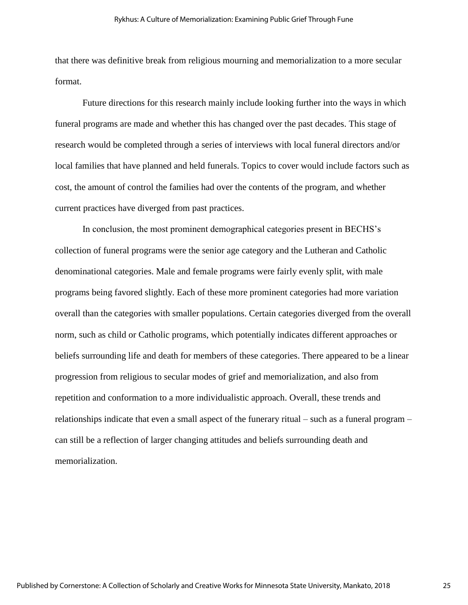that there was definitive break from religious mourning and memorialization to a more secular format.

Future directions for this research mainly include looking further into the ways in which funeral programs are made and whether this has changed over the past decades. This stage of research would be completed through a series of interviews with local funeral directors and/or local families that have planned and held funerals. Topics to cover would include factors such as cost, the amount of control the families had over the contents of the program, and whether current practices have diverged from past practices.

In conclusion, the most prominent demographical categories present in BECHS's collection of funeral programs were the senior age category and the Lutheran and Catholic denominational categories. Male and female programs were fairly evenly split, with male programs being favored slightly. Each of these more prominent categories had more variation overall than the categories with smaller populations. Certain categories diverged from the overall norm, such as child or Catholic programs, which potentially indicates different approaches or beliefs surrounding life and death for members of these categories. There appeared to be a linear progression from religious to secular modes of grief and memorialization, and also from repetition and conformation to a more individualistic approach. Overall, these trends and relationships indicate that even a small aspect of the funerary ritual – such as a funeral program – can still be a reflection of larger changing attitudes and beliefs surrounding death and memorialization.